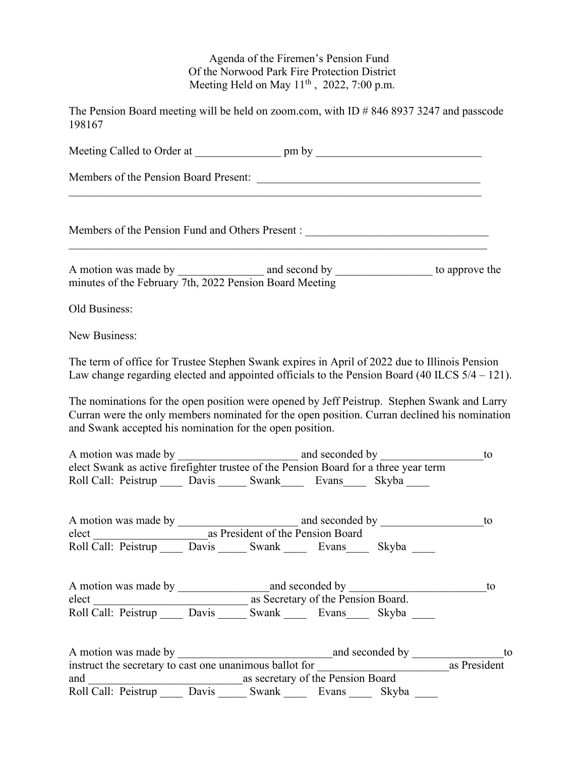## Agenda of the Firemen's Pension Fund Of the Norwood Park Fire Protection District Meeting Held on May  $11<sup>th</sup>$ , 2022, 7:00 p.m.

The Pension Board meeting will be held on zoom.com, with ID # 846 8937 3247 and passcode 198167

| Members of the Pension Fund and Others Present :                                                                                                                                                                                                                                                                                                                                                                                                                                               |                                                                                                                               |       |    |
|------------------------------------------------------------------------------------------------------------------------------------------------------------------------------------------------------------------------------------------------------------------------------------------------------------------------------------------------------------------------------------------------------------------------------------------------------------------------------------------------|-------------------------------------------------------------------------------------------------------------------------------|-------|----|
| A motion was made by $\frac{1}{\sqrt{1 + \frac{1}{2} \cdot \frac{1}{2} \cdot \frac{1}{2} \cdot \frac{1}{2} \cdot \frac{1}{2} \cdot \frac{1}{2} \cdot \frac{1}{2} \cdot \frac{1}{2} \cdot \frac{1}{2} \cdot \frac{1}{2} \cdot \frac{1}{2} \cdot \frac{1}{2} \cdot \frac{1}{2} \cdot \frac{1}{2} \cdot \frac{1}{2} \cdot \frac{1}{2} \cdot \frac{1}{2} \cdot \frac{1}{2} \cdot \frac{1}{2} \cdot \frac{1}{2} \cdot \frac{1}{2} \cdot$<br>minutes of the February 7th, 2022 Pension Board Meeting |                                                                                                                               |       |    |
| Old Business:                                                                                                                                                                                                                                                                                                                                                                                                                                                                                  |                                                                                                                               |       |    |
| New Business:                                                                                                                                                                                                                                                                                                                                                                                                                                                                                  |                                                                                                                               |       |    |
| The term of office for Trustee Stephen Swank expires in April of 2022 due to Illinois Pension<br>Law change regarding elected and appointed officials to the Pension Board (40 ILCS $5/4 - 121$ ).                                                                                                                                                                                                                                                                                             |                                                                                                                               |       |    |
| The nominations for the open position were opened by Jeff Peistrup. Stephen Swank and Larry<br>Curran were the only members nominated for the open position. Curran declined his nomination<br>and Swank accepted his nomination for the open position.                                                                                                                                                                                                                                        |                                                                                                                               |       |    |
|                                                                                                                                                                                                                                                                                                                                                                                                                                                                                                |                                                                                                                               |       |    |
| elect Swank as active firefighter trustee of the Pension Board for a three year term<br>Roll Call: Peistrup _____ Davis ______ Swank ______ Evans ______ Skyba _____                                                                                                                                                                                                                                                                                                                           |                                                                                                                               |       |    |
|                                                                                                                                                                                                                                                                                                                                                                                                                                                                                                |                                                                                                                               |       | to |
|                                                                                                                                                                                                                                                                                                                                                                                                                                                                                                |                                                                                                                               |       |    |
|                                                                                                                                                                                                                                                                                                                                                                                                                                                                                                |                                                                                                                               |       |    |
|                                                                                                                                                                                                                                                                                                                                                                                                                                                                                                |                                                                                                                               |       |    |
|                                                                                                                                                                                                                                                                                                                                                                                                                                                                                                | elect as Secretary of the Pension Board.<br>Roll Call: Peistrup _______ Davis _______ Swank _______ Evans_______ Skyba ______ |       |    |
|                                                                                                                                                                                                                                                                                                                                                                                                                                                                                                |                                                                                                                               |       |    |
|                                                                                                                                                                                                                                                                                                                                                                                                                                                                                                |                                                                                                                               |       |    |
| as secretary of the Pension Board<br>and                                                                                                                                                                                                                                                                                                                                                                                                                                                       |                                                                                                                               |       |    |
| Roll Call: Peistrup Davis Swank Evans                                                                                                                                                                                                                                                                                                                                                                                                                                                          |                                                                                                                               | Skyba |    |